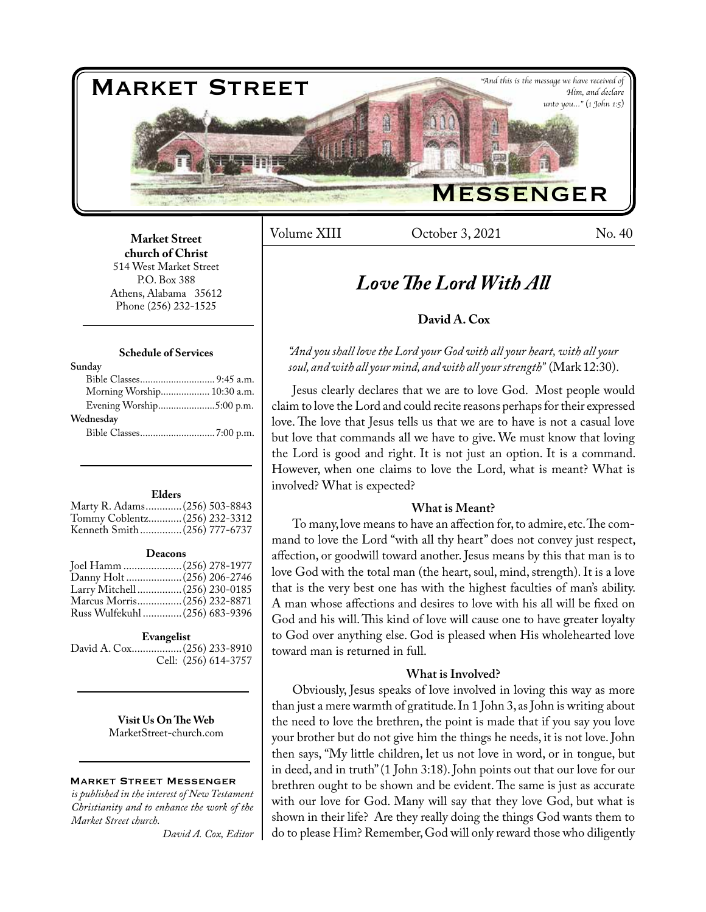

Volume XIII Cotober 3, 2021 No. 40

## **Market Street church of Christ**  514 West Market Street P.O. Box 388 Athens, Alabama 35612 Phone (256) 232-1525

### **Schedule of Services**

| Sunday                     |  |
|----------------------------|--|
|                            |  |
| Morning Worship 10:30 a.m. |  |
|                            |  |
| Wednesday                  |  |
|                            |  |
|                            |  |

#### **Elders**

| Marty R. Adams (256) 503-8843 |  |
|-------------------------------|--|
| Tommy Coblentz (256) 232-3312 |  |
| Kenneth Smith(256) 777-6737   |  |
|                               |  |

#### **Deacons**

| Joel Hamm  (256) 278-1977      |  |
|--------------------------------|--|
|                                |  |
| Larry Mitchell (256) 230-0185  |  |
| Marcus Morris(256) 232-8871    |  |
| Russ Wulfekuhl  (256) 683-9396 |  |

### **Evangelist**

David A. Cox..................(256) 233-8910 Cell: (256) 614-3757

> **Visit Us On The Web** MarketStreet-church.com

### Market Street Messenger

*is published in the interest of New Testament Christianity and to enhance the work of the Market Street church.*

*David A. Cox, Editor*

# *Love The Lord With All*

## **David A. Cox**

## *"And you shall love the Lord your God with all your heart, with all your soul, and with all your mind, and with all your strength"* (Mark 12:30).

Jesus clearly declares that we are to love God. Most people would claim to love the Lord and could recite reasons perhaps for their expressed love. The love that Jesus tells us that we are to have is not a casual love but love that commands all we have to give. We must know that loving the Lord is good and right. It is not just an option. It is a command. However, when one claims to love the Lord, what is meant? What is involved? What is expected?

## **What is Meant?**

To many, love means to have an affection for, to admire, etc. The command to love the Lord "with all thy heart" does not convey just respect, affection, or goodwill toward another. Jesus means by this that man is to love God with the total man (the heart, soul, mind, strength). It is a love that is the very best one has with the highest faculties of man's ability. A man whose affections and desires to love with his all will be fixed on God and his will. This kind of love will cause one to have greater loyalty to God over anything else. God is pleased when His wholehearted love toward man is returned in full.

## **What is Involved?**

Obviously, Jesus speaks of love involved in loving this way as more than just a mere warmth of gratitude. In 1 John 3, as John is writing about the need to love the brethren, the point is made that if you say you love your brother but do not give him the things he needs, it is not love. John then says, "My little children, let us not love in word, or in tongue, but in deed, and in truth" (1 John 3:18). John points out that our love for our brethren ought to be shown and be evident. The same is just as accurate with our love for God. Many will say that they love God, but what is shown in their life? Are they really doing the things God wants them to do to please Him? Remember, God will only reward those who diligently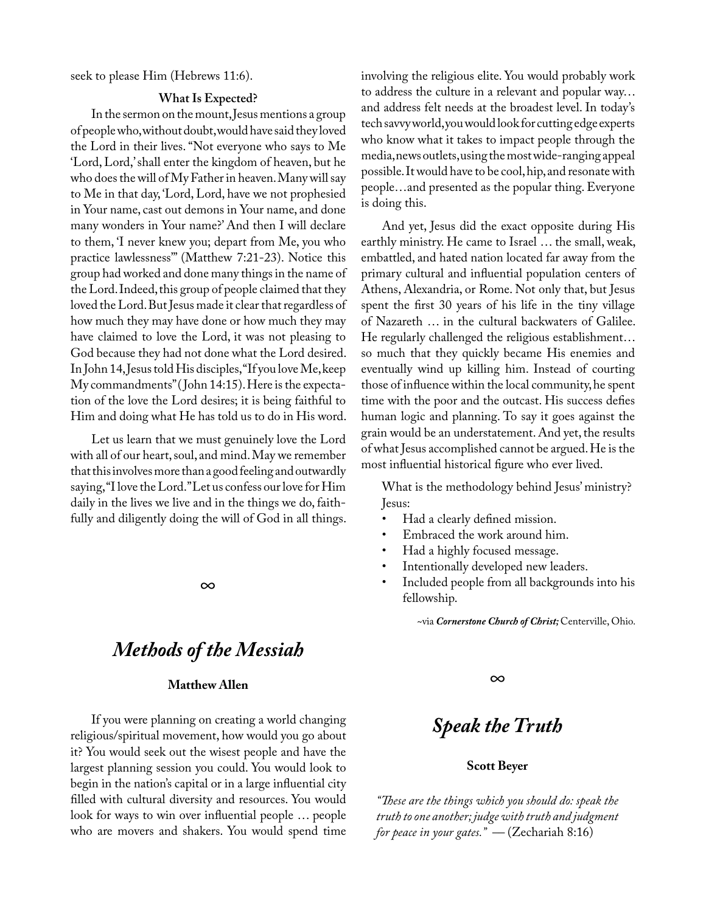seek to please Him (Hebrews 11:6).

### **What Is Expected?**

In the sermon on the mount, Jesus mentions a group of people who, without doubt, would have said they loved the Lord in their lives. "Not everyone who says to Me 'Lord, Lord,' shall enter the kingdom of heaven, but he who does the will of My Father in heaven. Many will say to Me in that day, 'Lord, Lord, have we not prophesied in Your name, cast out demons in Your name, and done many wonders in Your name?' And then I will declare to them, 'I never knew you; depart from Me, you who practice lawlessness'" (Matthew 7:21-23). Notice this group had worked and done many things in the name of the Lord. Indeed, this group of people claimed that they loved the Lord. But Jesus made it clear that regardless of how much they may have done or how much they may have claimed to love the Lord, it was not pleasing to God because they had not done what the Lord desired. In John 14, Jesus told His disciples, "If you love Me, keep My commandments" ( John 14:15). Here is the expectation of the love the Lord desires; it is being faithful to Him and doing what He has told us to do in His word.

Let us learn that we must genuinely love the Lord with all of our heart, soul, and mind. May we remember that this involves more than a good feeling and outwardly saying, "I love the Lord." Let us confess our love for Him daily in the lives we live and in the things we do, faithfully and diligently doing the will of God in all things.

*∞*

# *Methods of the Messiah*

## **Matthew Allen**

If you were planning on creating a world changing religious/spiritual movement, how would you go about it? You would seek out the wisest people and have the largest planning session you could. You would look to begin in the nation's capital or in a large influential city filled with cultural diversity and resources. You would look for ways to win over influential people … people who are movers and shakers. You would spend time involving the religious elite. You would probably work to address the culture in a relevant and popular way… and address felt needs at the broadest level. In today's tech savvy world, you would look for cutting edge experts who know what it takes to impact people through the media, news outlets, using the most wide-ranging appeal possible. It would have to be cool, hip, and resonate with people…and presented as the popular thing. Everyone is doing this.

And yet, Jesus did the exact opposite during His earthly ministry. He came to Israel … the small, weak, embattled, and hated nation located far away from the primary cultural and influential population centers of Athens, Alexandria, or Rome. Not only that, but Jesus spent the first 30 years of his life in the tiny village of Nazareth … in the cultural backwaters of Galilee. He regularly challenged the religious establishment… so much that they quickly became His enemies and eventually wind up killing him. Instead of courting those of influence within the local community, he spent time with the poor and the outcast. His success defies human logic and planning. To say it goes against the grain would be an understatement. And yet, the results of what Jesus accomplished cannot be argued. He is the most influential historical figure who ever lived.

What is the methodology behind Jesus' ministry? Jesus:

- Had a clearly defined mission.
- Embraced the work around him.
- Had a highly focused message.
- Intentionally developed new leaders.
- Included people from all backgrounds into his fellowship.

~via *Cornerstone Church of Christ;* Centerville, Ohio.

*∞*

# *Speak the Truth*

## **Scott Beyer**

*"These are the things which you should do: speak the truth to one another; judge with truth and judgment for peace in your gates." ––* (Zechariah 8:16)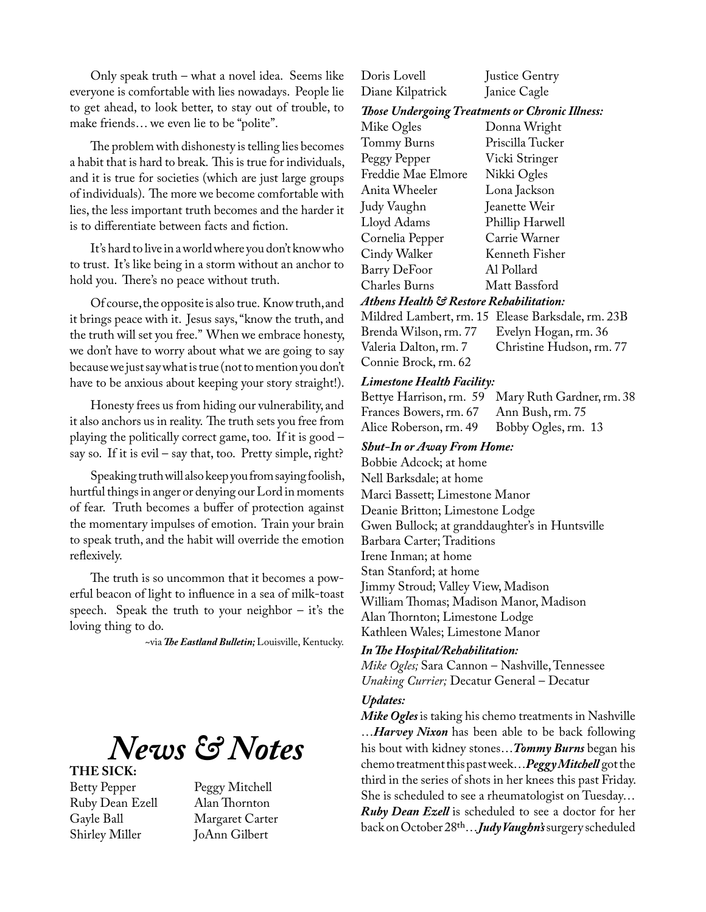Only speak truth – what a novel idea. Seems like everyone is comfortable with lies nowadays. People lie to get ahead, to look better, to stay out of trouble, to make friends… we even lie to be "polite".

The problem with dishonesty is telling lies becomes a habit that is hard to break. This is true for individuals, and it is true for societies (which are just large groups of individuals). The more we become comfortable with lies, the less important truth becomes and the harder it is to differentiate between facts and fiction.

It's hard to live in a world where you don't know who to trust. It's like being in a storm without an anchor to hold you. There's no peace without truth.

Of course, the opposite is also true. Know truth, and it brings peace with it. Jesus says, "know the truth, and the truth will set you free." When we embrace honesty, we don't have to worry about what we are going to say because we just say what is true (not to mention you don't have to be anxious about keeping your story straight!).

Honesty frees us from hiding our vulnerability, and it also anchors us in reality. The truth sets you free from playing the politically correct game, too. If it is good – say so. If it is evil – say that, too. Pretty simple, right?

Speaking truth will also keep you from saying foolish, hurtful things in anger or denying our Lord in moments of fear. Truth becomes a buffer of protection against the momentary impulses of emotion. Train your brain to speak truth, and the habit will override the emotion reflexively.

The truth is so uncommon that it becomes a powerful beacon of light to influence in a sea of milk-toast speech. Speak the truth to your neighbor  $-$  it's the loving thing to do.

~via *The Eastland Bulletin;* Louisville, Kentucky.



## **THE SICK:**

Betty Pepper Peggy Mitchell<br>Ruby Dean Ezell Alan Thornton Ruby Dean Ezell Gayle Ball Margaret Carter Shirley Miller JoAnn Gilbert

| Doris Lovell     | Justice Gentry |
|------------------|----------------|
| Diane Kilpatrick | Janice Cagle   |

*Those Undergoing Treatments or Chronic Illness:*

| Mike Ogles           | Donna Wright     |
|----------------------|------------------|
| Tommy Burns          | Priscilla Tucker |
| Peggy Pepper         | Vicki Stringer   |
| Freddie Mae Elmore   | Nikki Ogles      |
| Anita Wheeler        | Lona Jackson     |
| Judy Vaughn          | Jeanette Weir    |
| Lloyd Adams          | Phillip Harwell  |
| Cornelia Pepper      | Carrie Warner    |
| Cindy Walker         | Kenneth Fisher   |
| <b>Barry DeFoor</b>  | Al Pollard       |
| <b>Charles Burns</b> | Matt Bassford    |
|                      |                  |

### *Athens Health & Restore Rehabilitation:*

Mildred Lambert, rm. 15 Elease Barksdale, rm. 23B Brenda Wilson, rm. 77 Evelyn Hogan, rm. 36 Christine Hudson, rm. 77 Connie Brock, rm. 62

### *Limestone Health Facility:*

Bettye Harrison, rm. 59 Mary Ruth Gardner, rm. 38 Frances Bowers, rm. 67 Alice Roberson, rm. 49 Bobby Ogles, rm. 13

*Shut-In or Away From Home:*

Bobbie Adcock; at home Nell Barksdale; at home Marci Bassett; Limestone Manor Deanie Britton; Limestone Lodge Gwen Bullock; at granddaughter's in Huntsville Barbara Carter; Traditions Irene Inman; at home Stan Stanford; at home Jimmy Stroud; Valley View, Madison William Thomas; Madison Manor, Madison Alan Thornton; Limestone Lodge Kathleen Wales; Limestone Manor

## *In The Hospital/Rehabilitation:*

*Mike Ogles;* Sara Cannon – Nashville, Tennessee *Unaking Currier;* Decatur General – Decatur

### *Updates:*

*Mike Ogles* is taking his chemo treatments in Nashville …*Harvey Nixon* has been able to be back following his bout with kidney stones…*Tommy Burns* began his chemo treatment this past week…*Peggy Mitchell* got the third in the series of shots in her knees this past Friday. She is scheduled to see a rheumatologist on Tuesday… *Ruby Dean Ezell* is scheduled to see a doctor for her back on October 28th…*Judy Vaughn's* surgery scheduled